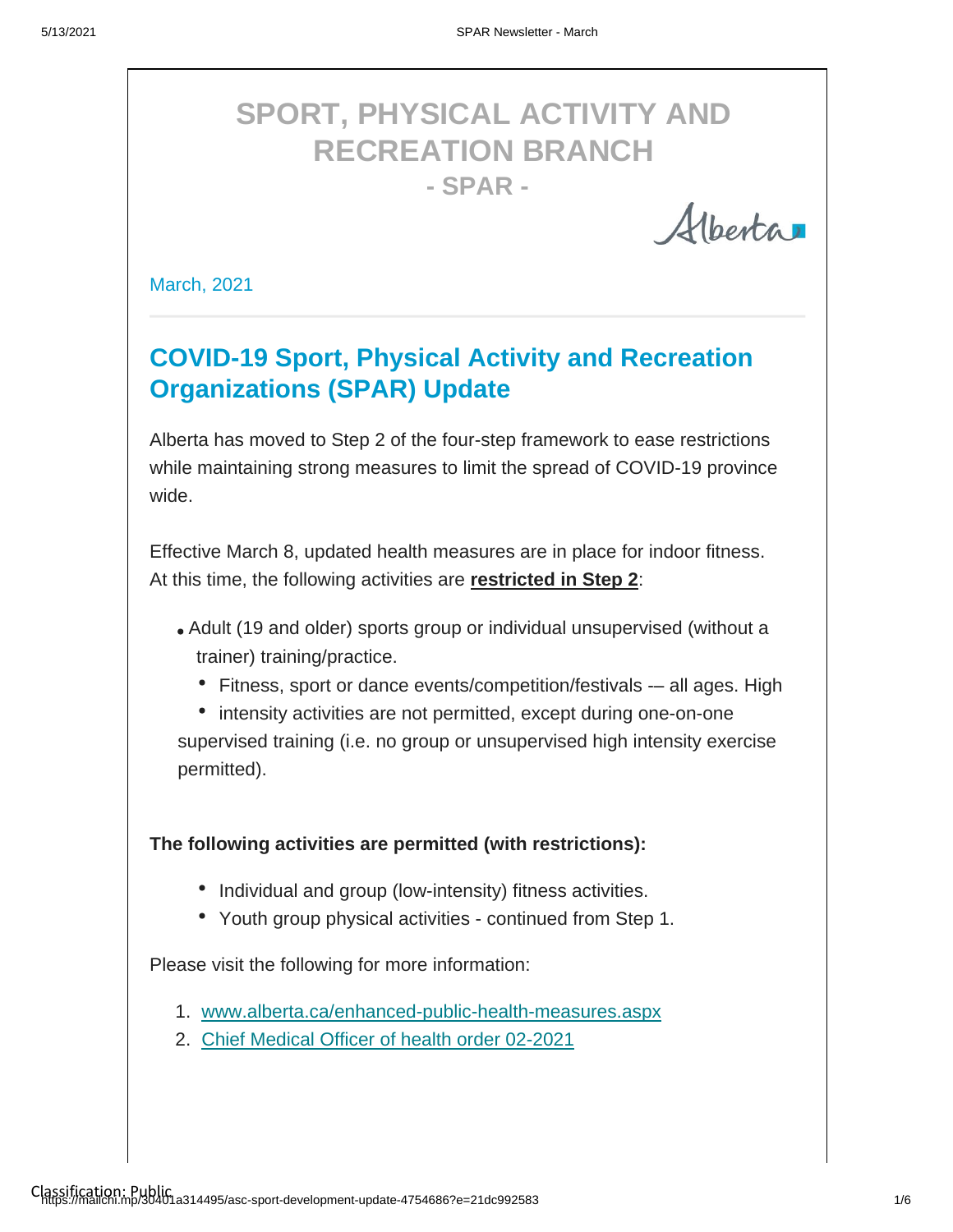# **SPORT, PHYSICAL ACTIVITY AND RECREATION BRANCH - SPAR -**

Alberta

March, 2021

## **COVID-19 Sport, Physical Activity and Recreation Organizations (SPAR) Update**

Alberta has moved to Step 2 of the four-step framework to ease restrictions while maintaining strong measures to limit the spread of COVID-19 province wide.

Effective March 8, updated health measures are in place for indoor fitness. At this time, the following activities are **restricted in Step 2**:

- Adult (19 and older) sports group or individual unsupervised (without a trainer) training/practice.
	- Fitness, sport or dance events/competition/festivals -- all ages. High

• intensity activities are not permitted, except during one-on-one supervised training (i.e. no group or unsupervised high intensity exercise permitted).

**The following activities are permitted (with restrictions):**

- Individual and group (low-intensity) fitness activities.
- Youth group physical activities continued from Step 1.

Please visit the following for more information:

- 1. www.alberta.ca/enhanced-public-health-measures.aspx
- 2. [Chief Medical Officer of health order 02-2021](https://open.alberta.ca/dataset/51e16352-51d5-4e92-b6d6-4e0f66d73fc8/resource/23d50d31-1f89-4299-9260-075f0b8afebd/download/health-cmoh-record-of-decision-cmoh-order-02-2021.pdf)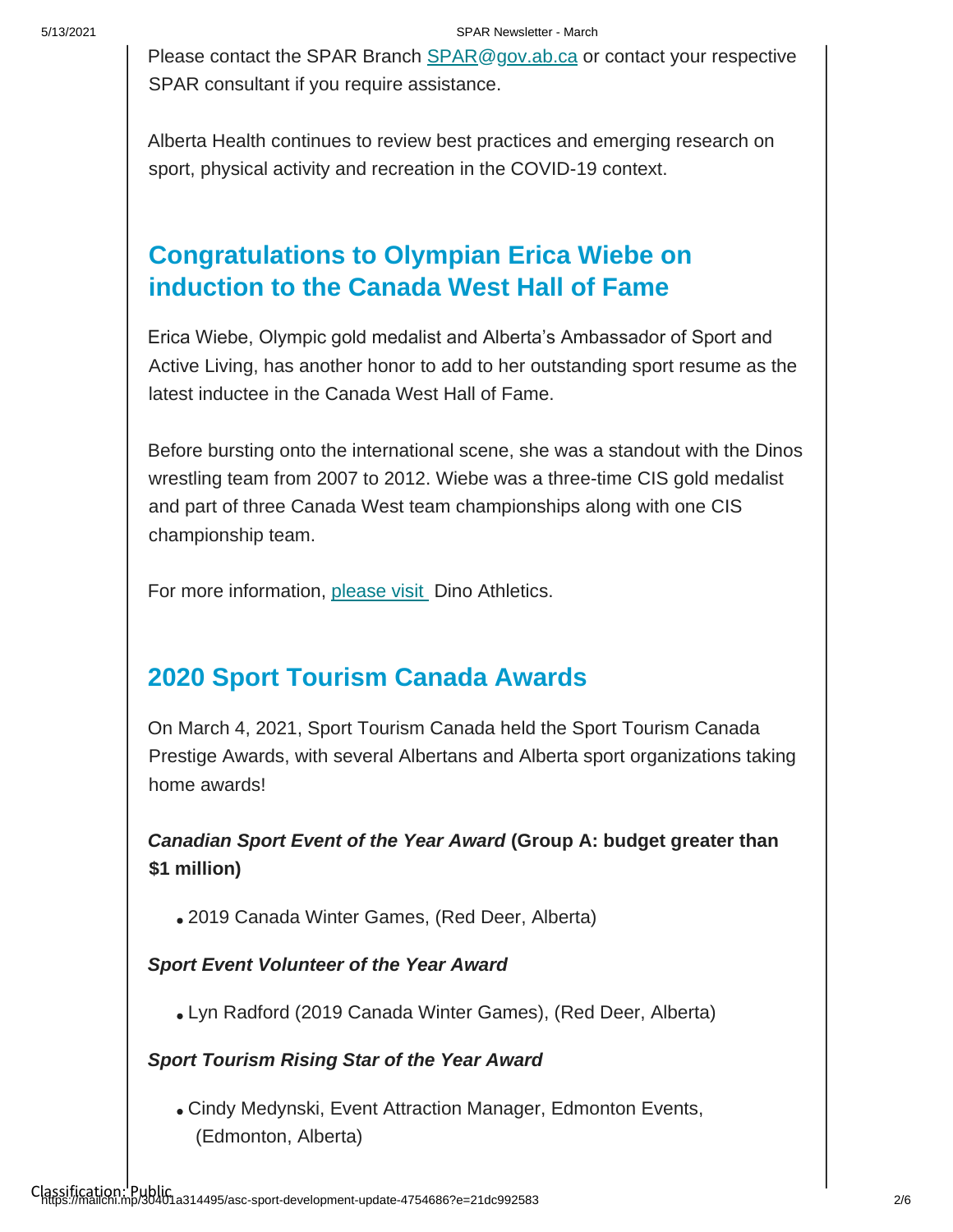Please contact the SPAR Branch **SPAR@gov.ab.ca** or contact your respective SPAR consultant if you require assistance.

Alberta Health continues to review best practices and emerging research on sport, physical activity and recreation in the COVID-19 context.

### **Congratulations to Olympian Erica Wiebe on induction to the Canada West Hall of Fame**

Erica Wiebe, Olympic gold medalist and Alberta's Ambassador of Sport and Active Living, has another honor to add to her outstanding sport resume as the latest inductee in the Canada West Hall of Fame.

Before bursting onto the international scene, she was a standout with the Dinos wrestling team from 2007 to 2012. Wiebe was a three-time CIS gold medalist and part of three Canada West team championships along with one CIS championship team.

For more information, [please visit D](https://godinos.com/news/2021/3/2/olympic-wrestling-gold-medallist-wiebe-honoured.aspx?fbclid=IwAR2kCiKJrbpXrq4wwh-K_DwaI_6fTu6WBjKxnvK_iis1D1jWezwhXfij5SA%C2%A0%C2%A0)ino Athletics.

### **2020 Sport Tourism Canada Awards**

On March 4, 2021, Sport Tourism Canada held the Sport Tourism Canada Prestige Awards, with several Albertans and Alberta sport organizations taking home awards!

*Canadian Sport Event of the Year Award* **(Group A: budget greater than \$1 million)**

2019 Canada Winter Games, (Red Deer, Alberta)

### *Sport Event Volunteer of the Year Award*

Lyn Radford (2019 Canada Winter Games), (Red Deer, Alberta)

### *Sport Tourism Rising Star of the Year Award*

Cindy Medynski, Event Attraction Manager, Edmonton Events, (Edmonton, Alberta)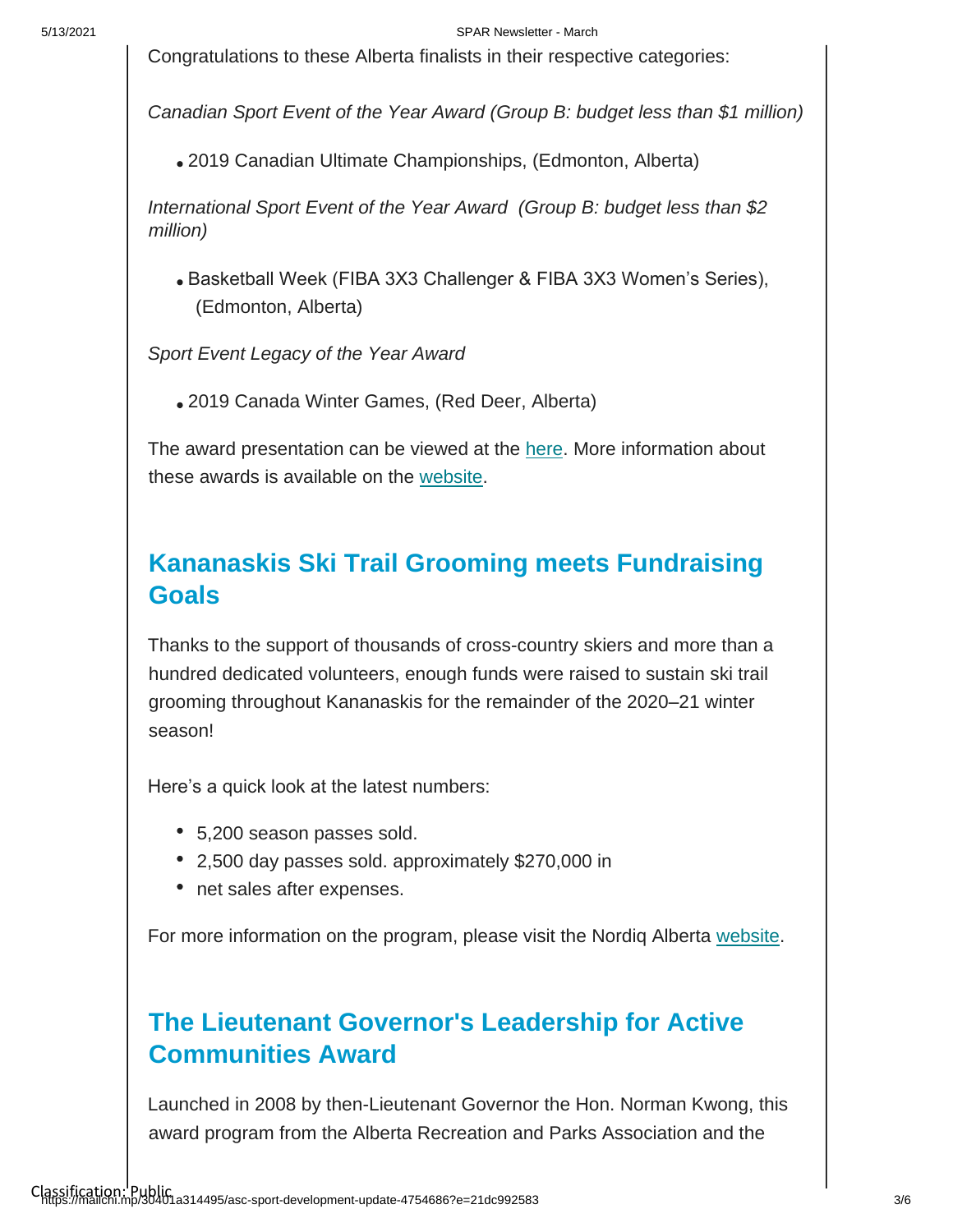#### 5/13/2021 SPAR Newsletter - March

Congratulations to these Alberta finalists in their respective categories:

*Canadian Sport Event of the Year Award (Group B: budget less than \$1 million)*

2019 Canadian Ultimate Championships, (Edmonton, Alberta)

*International Sport Event of the Year Award (Group B: budget less than \$2 million)*

Basketball Week (FIBA 3X3 Challenger & FIBA 3X3 Women's Series), (Edmonton, Alberta)

*Sport Event Legacy of the Year Award*

2019 Canada Winter Games, (Red Deer, Alberta)

The award presentation can be viewed at the [here.](https://sporttourismcanada.com/2020-prestige-awards/) More information about these awards is available on the [website.](https://sporttourismcanada.com/celebrating-the-best-in-canadas-sport-tourism-industry-14th-annual-prestige-awards/)

### **Kananaskis Ski Trail Grooming meets Fundraising Goals**

Thanks to the support of thousands of cross-country skiers and more than a hundred dedicated volunteers, enough funds were raised to sustain ski trail grooming throughout Kananaskis for the remainder of the 2020–21 winter season!

Here's a quick look at the latest numbers:

- 5,200 season passes sold.
- 2,500 day passes sold. approximately \$270,000 in
- net sales after expenses.

For more information on the program, please visit the Nordiq Alberta [website.](https://can01.safelinks.protection.outlook.com/?url=https%3A%2F%2Fwww.kananaskisgrooming.ca%2F&data=04%7C01%7Csheri.wilson%40gov.ab.ca%7C088a85c605f244d8070a08d8dff2fce1%7C2bb51c06af9b42c58bf53c3b7b10850b%7C0%7C0%7C637505581997133346%7CUnknown%7CTWFpbGZsb3d8eyJWIjoiMC4wLjAwMDAiLCJQIjoiV2luMzIiLCJBTiI6Ik1haWwiLCJXVCI6Mn0%3D%7C1000&sdata=Q8OxPW0yUDEUN4noZieI9XJ54Fc6O4VjnvCsXWU3HWQ%3D&reserved=0)

## **The Lieutenant Governor's Leadership for Active Communities Award**

Launched in 2008 by then-Lieutenant Governor the Hon. Norman Kwong, this award program from the Alberta Recreation and Parks Association and the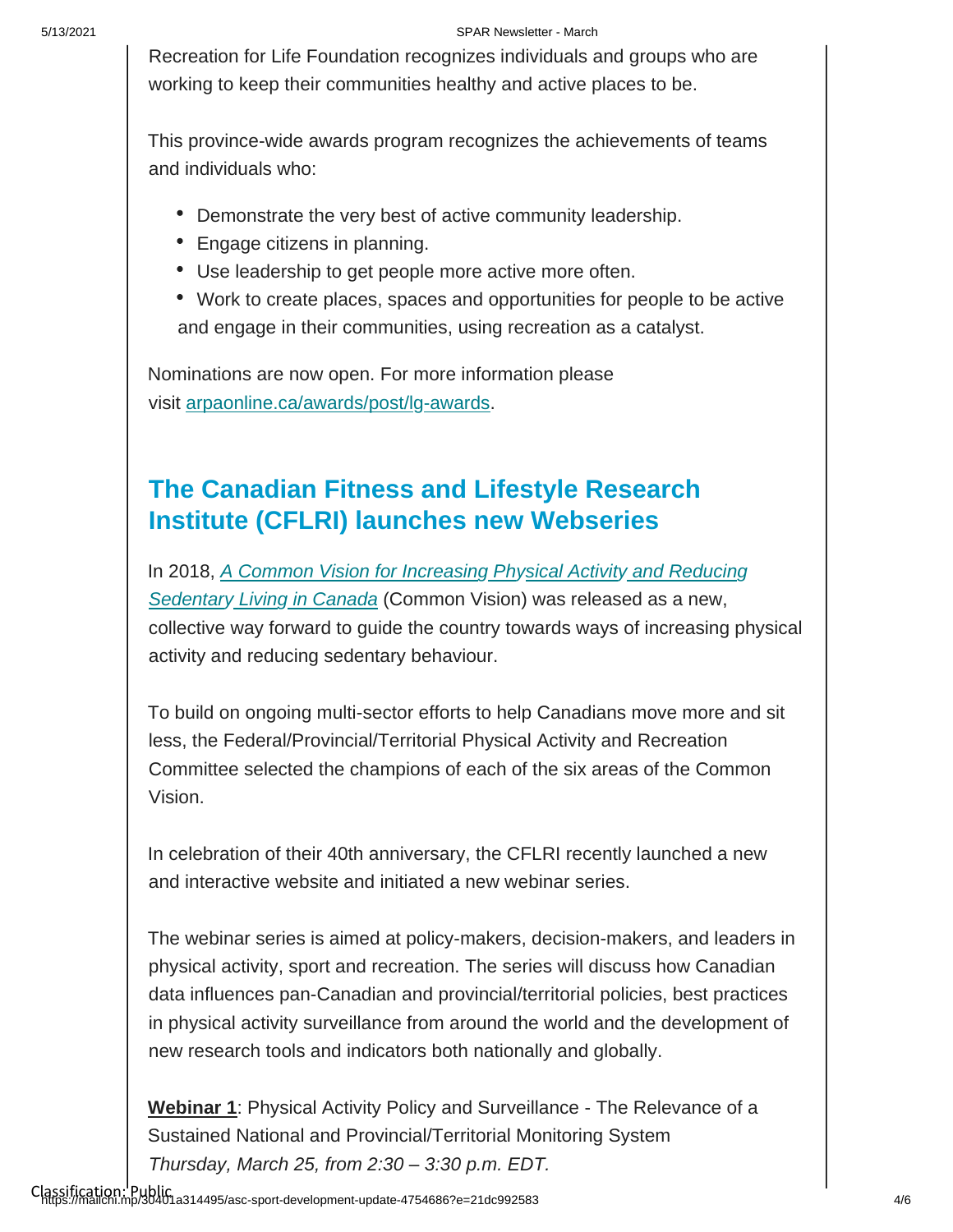#### 5/13/2021 SPAR Newsletter - March

Recreation for Life Foundation recognizes individuals and groups who are working to keep their communities healthy and active places to be.

This province-wide awards program recognizes the achievements of teams and individuals who:

- Demonstrate the very best of active community leadership.
- Engage citizens in planning.
- Use leadership to get people more active more often.
- Work to create places, spaces and opportunities for people to be active and engage in their communities, using recreation as a catalyst.

Nominations are now open. For more information please visit [arpaonline.ca/awards/post/lg-awards.](https://arpaonline.ca/awards/post/lg-awards.(will)

## **The Canadian Fitness and Lifestyle Research Institute (CFLRI) launches new Webseries**

[In 2018,](https://www.canada.ca/en/public-health/services/publications/healthy-living/lets-get-moving.html) *[A Common Vision for Increasing](https://www.canada.ca/en/public-health/services/publications/healthy-living/lets-get-moving.html) [Physical Activity](https://www.canada.ca/en/public-health/services/publications/healthy-living/lets-get-moving.html) [and Reducing](https://www.canada.ca/en/public-health/services/publications/healthy-living/lets-get-moving.html)  [Sedentary](https://www.canada.ca/en/public-health/services/publications/healthy-living/lets-get-moving.html) [Living](https://www.canada.ca/en/public-health/services/publications/healthy-living/lets-get-moving.html) [in Canada](https://www.canada.ca/en/public-health/services/publications/healthy-living/lets-get-moving.html)* [\(Common Vision\) was released as a new,](https://www.canada.ca/en/public-health/services/publications/healthy-living/lets-get-moving.html)  collective way forward to guide the country towards ways of increasing physical activity and reducing sedentary behaviour.

To build on ongoing multi-sector efforts to help Canadians move more and sit less, the Federal/Provincial/Territorial Physical Activity and Recreation Committee selected the champions of each of the six areas of the Common Vision.

In celebration of their 40th anniversary, the CFLRI recently launched a new and interactive website and initiated a new webinar series.

The webinar series is aimed at policy-makers, decision-makers, and leaders in physical activity, sport and recreation. The series will discuss how Canadian data influences pan-Canadian and provincial/territorial policies, best practices in physical activity surveillance from around the world and the development of new research tools and indicators both nationally and globally.

**Webinar 1**: Physical Activity Policy and Surveillance - The Relevance of a Sustained National and Provincial/Territorial Monitoring System *Thursday, March 25, from 2:30 – 3:30 p.m. EDT.*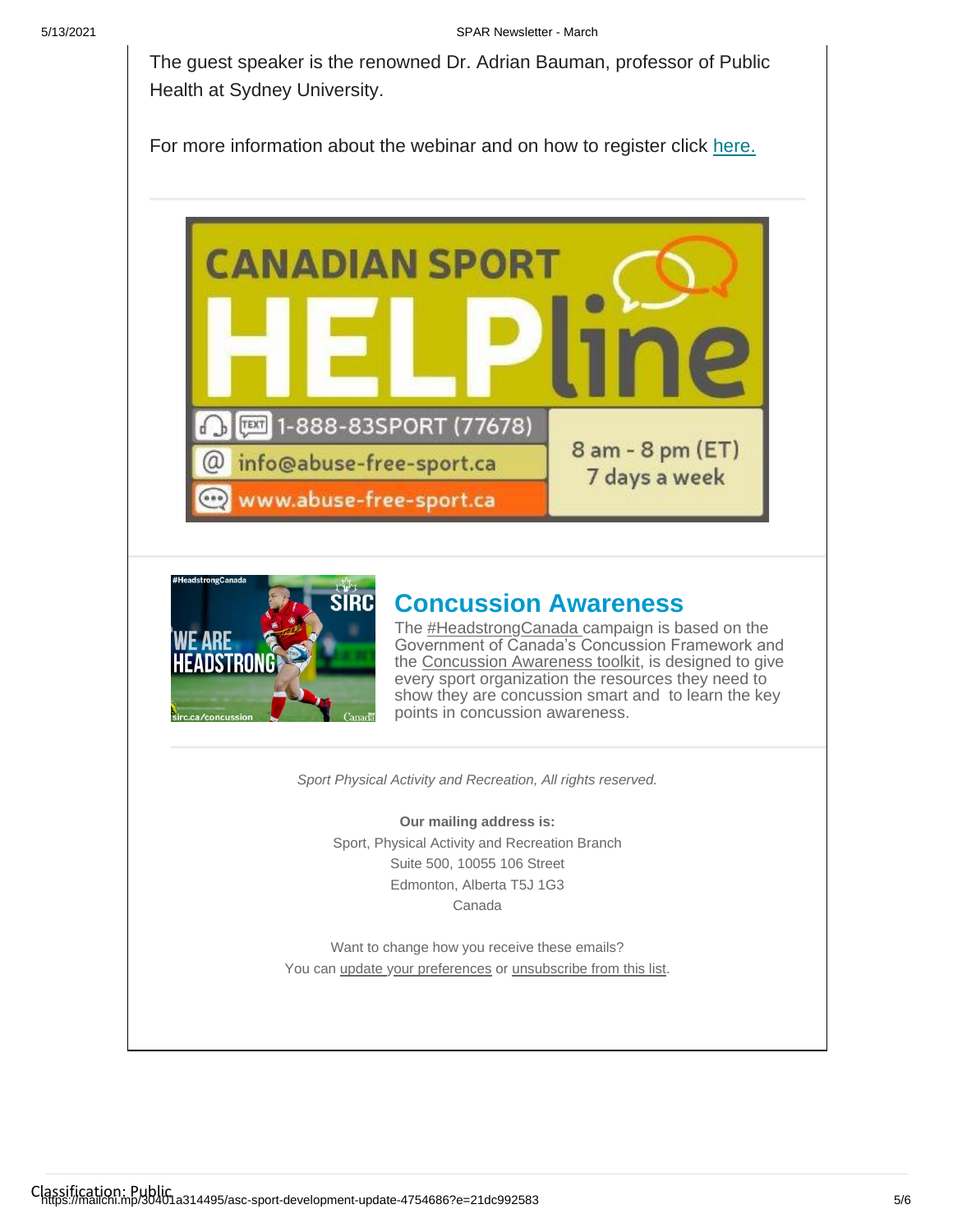The guest speaker is the renowned Dr. Adrian Bauman, professor of Public Health at Sydney University.

For more information about the webinar and on how to register click [here.](https://zoom.us/webinar/register/WN_XIHZgBALSSm_Qze69NICzw)





### **Concussion Awareness**

The [#HeadstrongCanada c](https://twitter.com/hashtag/headstrongcanada)ampaign is based on the Government of Canada's Concussion Framework and the [Concussion Awareness toolkit,](https://sirc.ca/concussion) is designed to give every sport organization the resources they need to show they are concussion smart and to learn the key points in concussion awareness.

*Sport Physical Activity and Recreation, All rights reserved.*

**Our mailing address is:** Sport, Physical Activity and Recreation Branch Suite 500, 10055 106 Street Edmonton, Alberta T5J 1G3 Canada

Want to change how you receive these emails? You ca[n update your preferences](https://albertasport.us9.list-manage.com/profile?u=15111b9aff89c69816858e448&id=b1f59a33c0&e=21dc992583) [o](https://albertasport.us9.list-manage.com/profile?u=15111b9aff89c69816858e448&id=b1f59a33c0&e=21dc992583)r [unsubscribe from this list.](https://albertasport.us9.list-manage.com/unsubscribe?u=15111b9aff89c69816858e448&id=b1f59a33c0&e=21dc992583&c=f43cf89ebf)